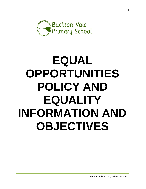

# **EQUAL OPPORTUNITIES POLICY AND EQUALITY INFORMATION AND OBJECTIVES**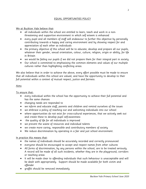# EQUAL OPPORTUNITIES POLICY

# We at Buckton Vale believe that:

- all individuals within the school are entitled to learn, teach and work in a nonthreatening and supportive environment in which self esteem is enhanced
- every pupil and all members of staff will endeavour to further this objective by personally contributing towards a happy and caring environment and by showing respect for and appreciation of each other as individuals
- the primary objective of this school will be to educate, develop and prepare all our pupils, whatever their gender, sexual orientation, colour, culture, religion, origin or ability, for life in Britain
- we would be failing our pupils if we did not prepare them for their integral part in society
- Our school is committed to emphasising the common elements and values of our multiple cultures rather than highlighting conflicting areas.

We also believe that in order to achieve the above, every effort possible must be made to ensure that all individuals within this school are valued, and have the opportunity to develop to their full potential within a context of mutual respect, justice and fairness.

# Aims

To ensure that:

- every individual within the school has the opportunity to achieve their full potential and has the same chances
- changing needs are responded to
- we inform and educate staff, parents and children and remind ourselves of the issues
- we embrace a policy of reaching out and welcoming individuals into our school
- where opportunities do not exist for cross-cultural experiences, that we actively seek out and create these to develop pupil self-awareness
- the quality of life for all individuals is improved
- we prevent the waste of resources and individual talents
- we create more caring, responsible and contributory members of society
- We reduce discrimination by operating in a fair and just school environment.

# In practice this means that:

- the names of individuals should be accurately recorded and correctly pronounced
- everyone should be encouraged to accept and respect names from other cultures
- All forms of discrimination, by any persons within the school, are to be treated seriously. A record will be made of all such incidents, whether they are in the playground, corridors or teaching areas
- It will be made clear to offending individuals that such behaviour is unacceptable and will be dealt with appropriately. Support should be made available for both victim and offender
- graffiti should be removed immediately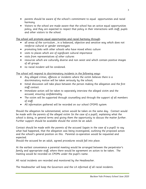- parents should be aware of the school's commitment to equal opportunities and racial harmony
- Visitors to the school are made aware that the school has an active equal opportunities policy, and they are expected to respect that policy in their interactions with staff, pupils and other visitors to the school.

The school will promote equal opportunities and racial harmony through:

- all areas of the curriculum , in a balanced, objective and sensitive way which does not reinforce cultural or gender stereotypes
- promoting links with other schools who have mixed ethnic culture
- visits to places which are of significant cultural importance
- visits from representatives of other cultures
- resources which are culturally diverse and non sexist and which contain positive images of all groups
- no racial incident will be condoned.

The school will respond to discriminatory incidents in the following ways:

- Any alleged crimes, offences or incidents where the victim believes there is a discriminatory motive will be taken seriously by the school;
- Initial discussion will take place between the person making the allegation and the first staff contact.
- Immediate action will be taken to separately interview the alleged victim and the accused, ensuring confidentiality.
- The victim will be supported through counselling and through the support of all members of staff.
- All information gathered will be recorded on our school CPOMS system

Should the allegation be substantiated, action would be taken on the same day. Contact would be made with the parents of the alleged victim (in the case of a pupil), explaining what the school is doing, in general terms and giving them the opportunity to discuss the matter further. Further support should be available should the victim be an adult.

Contact should be made with the parents of the accused (again in the case of a pupil) to say what had happened, that the allegation was being investigated, outlining the proposed action and the school's general position on this. Parental co-operation would be requested and expected.

Should the accused be an adult, agreed procedures would fall into place.

At the earliest convenience a parental meeting would be arranged between the perpetrator's family and appropriate staff, where there would be agreement on action to be taken. The meeting would be recorded on CPOMs under the pupil's name.

All racial incidents are recorded and monitored by the Headteacher.

The Headteacher will keep the Governors and the LA informed of all racial incidents.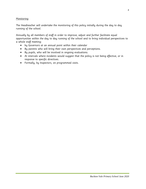# Monitoring

The Headteacher will undertake the monitoring of this policy initially during the day to day running of the school.

Annually by all members of staff in order to improve, adjust and further facilitate equal opportunities within the day to day running of the school and to bring individual perspectives to a whole staff meeting:

- by Governors at an annual point within their calendar
- By parents who will bring their own perspectives and perceptions.
- By pupils, who will be involved in ongoing evaluations.
- At intervals where incidents would suggest that the policy is not being effective, or in response to specific directives.
- Formally, by Inspectors, on programmed visits.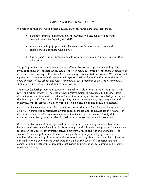#### EQUALITY INFORMATION AND OBJECTIVES

We recognise that the Public Sector Equality Duty has three aims and they are to:

- Eliminate unlawful discrimination, harassment and victimisation and other conduct under the Equality Act 2010;
- Advance equality of opportunity between people who share a protected characteristic and those who do not;
- Foster good relations between people who have a shared characteristic and those who do not.

The policy outlines the commitment of the staff and Governors to promote equality. This involves tackling the barriers which could lead to unequal outcomes so that there is equality of access and the diversity within the school community is celebrated and valued. We believe that equality at our school should permeate all aspects of school life and is the responsibility of every member of the school and wider community. Every member of the school community should feel safe, secure, valued and of equal worth

The senior leadership team and governors at Buckton Vale Primary School are proactive in reviewing school evidence. The school takes positive action to advance equality and tackle discrimination and how well we achieve these aims with regard to the protected groups under the Equality Act 2010 (race, disability, gender, gender re-assignment, age, pregnancy and maternity, marital status, sexual orientation, religion and belief and sexual orientation.)

Our school development plan refers directly to closing the gaps for all vulnerable groups, our collective worship policy references diverse cultural groups and acknowledges the richness of diversity that exists within our community and wider world. The school's termly data set analyses vulnerable groups and details curriculum progress on community cohesion.

Our school development plan is focused on securing and maintaining excellent teaching, learning and assessment for all pupils. Data analysis and subsequent support deployment aims to narrow the gaps in achievement between different groups and national standards. The school's behaviour policy aims to ensure that pupils are free from bullying in all its manifestations including all types of prejudice-based bullying. As a school we aim to foster an enriched learning environment which puts the child at the centre of a cohesive learning community and deals with unacceptable behaviour and disruptions to learning in a prompt, open and fair way.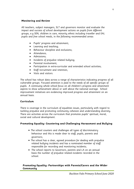## **Monitoring and Review**

All teachers, subject managers, SLT and governors monitor and evaluate the impact and success of school development actions on pupils from different groups, e.g SEN, children in care, minority ethnic including traveller and EAL pupils and free school meals, in the following recommended areas:

- Pupils' progress and attainment;
- Learning and teaching;
- Behaviour discipline and exclusions;
- Attendance;
- Admissions;
- Incidents of prejudice related bullying;
- Parental involvement;
- Participation in extra-curricular and extended school activities;
- Staff recruitment and retention;
- Visits and visitors.

The school has robust data across a range of characteristics indicating progress of all vulnerable groups. Focused attention is paid to the needs of all specific groups of pupils. A continuing whole school focus on all children's progress and attainment aspires to show achievement above or well above the national average. School improvement initiatives are evidencing improved progress and attainment on an annual basis.

## **Curriculum**

There is coverage in the curriculum of equalities issues, particularly with regard to tackling prejudice and promoting community cohesion and understanding diversity. There are activities across the curriculum that promotes pupils' spiritual, moral, social and cultural development.

## **Promoting Equality: Countering and Challenging Harassment and Bullying**

- The school counters and challenges all types of discriminatory behaviour and this is made clear to staff, pupils, parents and governors;
- The school has a clear, agreed procedure for dealing with prejudice related bullying incidents and has a nominated member of staff responsible for recording and monitoring incidents;
- The school reports to Governors, parents and LA on an annual basis the number of prejudice related incidents recorded in the school.

# **Promoting Equality: Partnerships with Parents/Carers and the Wider Community**